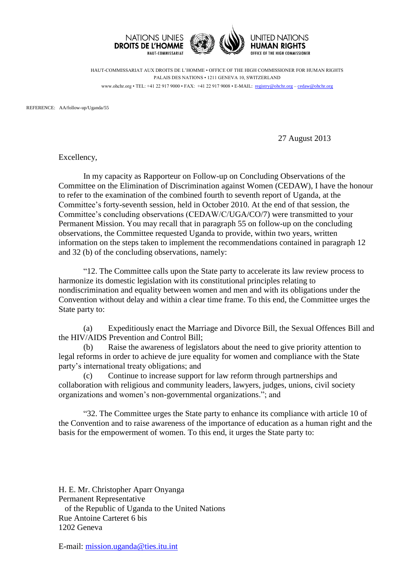

HAUT-COMMISSARIAT AUX DROITS DE L'HOMME • OFFICE OF THE HIGH COMMISSIONER FOR HUMAN RIGHTS PALAIS DES NATIONS • 1211 GENEVA 10, SWITZERLAND www.ohchr.org • TEL: +41 22 917 9000 • FAX: +41 22 917 9008 • E-MAIL: registry@ohchr.org – cedaw@ohchr.org

REFERENCE: AA/follow-up/Uganda/55

27 August 2013

Excellency,

In my capacity as Rapporteur on Follow-up on Concluding Observations of the Committee on the Elimination of Discrimination against Women (CEDAW), I have the honour to refer to the examination of the combined fourth to seventh report of Uganda, at the Committee's forty-seventh session, held in October 2010. At the end of that session, the Committee's concluding observations (CEDAW/C/UGA/CO/7) were transmitted to your Permanent Mission. You may recall that in paragraph 55 on follow-up on the concluding observations, the Committee requested Uganda to provide, within two years, written information on the steps taken to implement the recommendations contained in paragraph 12 and 32 (b) of the concluding observations, namely:

"12. The Committee calls upon the State party to accelerate its law review process to harmonize its domestic legislation with its constitutional principles relating to nondiscrimination and equality between women and men and with its obligations under the Convention without delay and within a clear time frame. To this end, the Committee urges the State party to:

(a) Expeditiously enact the Marriage and Divorce Bill, the Sexual Offences Bill and the HIV/AIDS Prevention and Control Bill;

(b) Raise the awareness of legislators about the need to give priority attention to legal reforms in order to achieve de jure equality for women and compliance with the State party's international treaty obligations; and

(c) Continue to increase support for law reform through partnerships and collaboration with religious and community leaders, lawyers, judges, unions, civil society organizations and women's non-governmental organizations."; and

"32. The Committee urges the State party to enhance its compliance with article 10 of the Convention and to raise awareness of the importance of education as a human right and the basis for the empowerment of women. To this end, it urges the State party to:

H. E. Mr. Christopher Aparr Onyanga Permanent Representative of the Republic of Uganda to the United Nations Rue Antoine Carteret 6 bis 1202 Geneva

E-mail: [mission.uganda@ties.itu.int](mailto:mission.uganda@ties.itu.int)